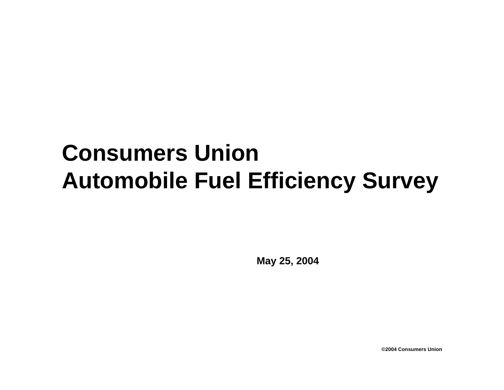# **Consumers Union Automobile Fuel Efficiency Survey**

**May 25, 2004**

**©2004 Consumers Union**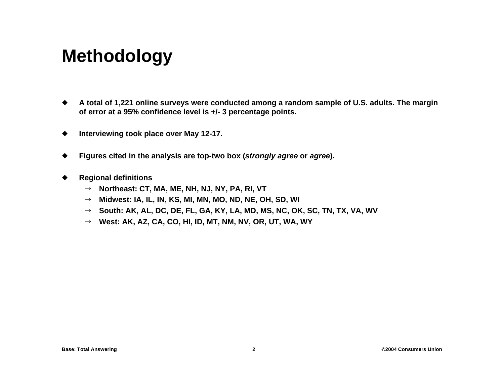## **Methodology**

- $\bullet$  **A total of 1,221 online surveys were conducted among a random sample of U.S. adults. The margin of error at a 95% confidence level is +/- 3 percentage points.**
- $\bullet$ **Interviewing took place over May 12-17.**
- $\blacklozenge$ **Figures cited in the analysis are top-two box (***strongly agree* **or** *agree***).**
- $\blacklozenge$  **Regional definitions**
	- → Northeast: CT, MA, ME, NH, NJ, NY, PA, RI, VT
	- → Midwest: IA, IL, IN, KS, MI, MN, MO, ND, NE, OH, SD, WI
	- → South: AK, AL, DC, DE, FL, GA, KY, LA, MD, MS, NC, OK, SC, TN, TX, VA, WV
	- → West: AK, AZ, CA, CO, HI, ID, MT, NM, NV, OR, UT, WA, WY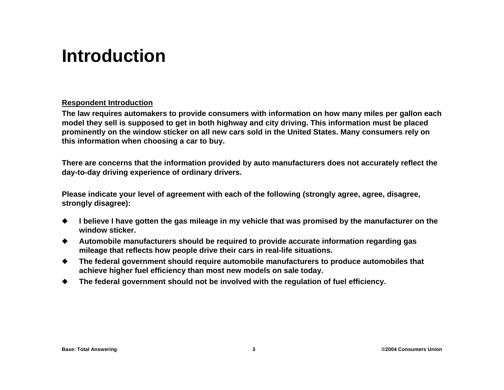### **Introduction**

#### **Respondent Introduction**

**The law requires automakers to provide consumers with information on how many miles per gallon each model they sell is supposed to get in both highway and city driving. This information must be placed prominently on the window sticker on all new cars sold in the United States. Many consumers rely on this information when choosing a car to buy.**

**There are concerns that the information provided by auto manufacturers does not accurately reflect the day-to-day driving experience of ordinary drivers.**

**Please indicate your level of agreement with each of the following (strongly agree, agree, disagree, strongly disagree):**

- ◆ I believe I have gotten the gas mileage in my vehicle that was promised by the manufacturer on the **window sticker.**
- $\bullet$  **Automobile manufacturers should be required to provide accurate information regarding gas mileage that reflects how people drive their cars in real-life situations.**
- $\bullet$  **The federal government should require automobile manufacturers to produce automobiles that achieve higher fuel efficiency than most new models on sale today.**
- $\bullet$ **The federal government should not be involved with the regulation of fuel efficiency.**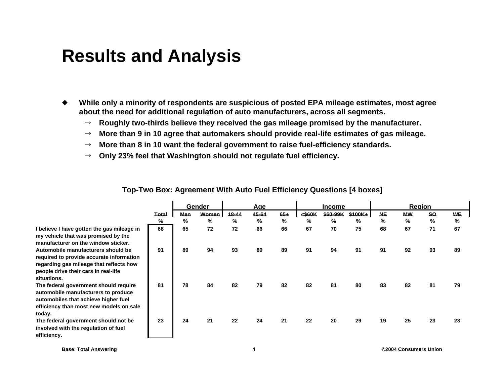#### **Results and Analysis**

- $\bullet$  **While only a minority of respondents are suspicious of posted EPA mileage estimates, most agree about the need for additional regulation of auto manufacturers, across all segments.**
	- $\rightarrow$ **Roughly two-thirds believe they received the gas mileage promised by the manufacturer.**
	- $\rightarrow$ **More than 9 in 10 agree that automakers should provide real-life estimates of gas mileage.**
	- $\rightarrow$ **More than 8 in 10 want the federal government to raise fuel-efficiency standards.**
	- $\rightarrow$   $\,$  Only 23% feel that Washington should not regulate fuel efficiency.

|                                                                                                                                                                                  |            | <b>Gender</b> |                   | Aae        |            |            | <b>Income</b> |                           |               | Region         |                |                |                |
|----------------------------------------------------------------------------------------------------------------------------------------------------------------------------------|------------|---------------|-------------------|------------|------------|------------|---------------|---------------------------|---------------|----------------|----------------|----------------|----------------|
|                                                                                                                                                                                  | Total<br>% | Men<br>%      | <b>Women</b><br>℅ | 18-44<br>% | 45-64<br>% | $65+$<br>% | <\$60K<br>%   | \$60-99K<br>$\frac{9}{6}$ | $$100K+$<br>% | <b>NE</b><br>% | <b>MW</b><br>% | <b>SO</b><br>% | <b>WE</b><br>% |
|                                                                                                                                                                                  |            |               |                   |            |            |            |               |                           |               |                |                |                |                |
| I believe I have gotten the gas mileage in<br>my vehicle that was promised by the<br>manufacturer on the window sticker.                                                         | 68         | 65            | 72                | 72         | 66         | 66         | 67            | 70                        | 75            | 68             | 67             | 71             | 67             |
| Automobile manufacturers should be<br>required to provide accurate information<br>regarding gas mileage that reflects how<br>people drive their cars in real-life<br>situations. | 91         | 89            | 94                | 93         | 89         | 89         | 91            | 94                        | 91            | 91             | 92             | 93             | 89             |
| The federal government should require<br>automobile manufacturers to produce<br>automobiles that achieve higher fuel<br>efficiency than most new models on sale<br>today.        | 81         | 78            | 84                | 82         | 79         | 82         | 82            | 81                        | 80            | 83             | 82             | 81             | 79             |
| The federal government should not be<br>involved with the regulation of fuel<br>efficiency.                                                                                      | 23         | 24            | 21                | 22         | 24         | 21         | 22            | 20                        | 29            | 19             | 25             | 23             | 23             |

**To p-Two Box: A greement With Auto Fuel Efficienc y Questions [4 boxes]**